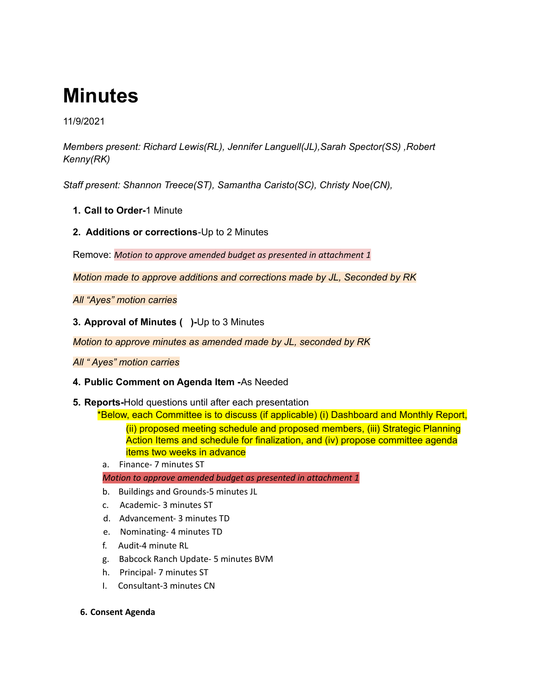# **Minutes**

11/9/2021

*Members present: Richard Lewis(RL), Jennifer Languell(JL),Sarah Spector(SS) ,Robert Kenny(RK)*

*Staff present: Shannon Treece(ST), Samantha Caristo(SC), Christy Noe(CN),*

- **1. Call to Order-**1 Minute
- **2. Additions or corrections**-Up to 2 Minutes

Remove: *Motion to approve amended budget as presented in attachment 1*

*Motion made to approve additions and corrections made by JL, Seconded by RK*

*All "Ayes" motion carries*

**3. Approval of Minutes ( )-**Up to 3 Minutes

*Motion to approve minutes as amended made by JL, seconded by RK*

*All " Ayes" motion carries*

- **4. Public Comment on Agenda Item -**As Needed
- **5. Reports-**Hold questions until after each presentation

\*Below, each Committee is to discuss (if applicable) (i) Dashboard and Monthly Report, (ii) proposed meeting schedule and proposed members, (iii) Strategic Planning Action Items and schedule for finalization, and (iv) propose committee agenda items two weeks in advance

a. Finance- 7 minutes ST

*Motion to approve amended budget as presented in attachment 1*

- b. Buildings and Grounds-5 minutes JL
- c. Academic- 3 minutes ST
- d. Advancement- 3 minutes TD
- e. Nominating- 4 minutes TD
- f. Audit-4 minute RL
- g. Babcock Ranch Update- 5 minutes BVM
- h. Principal- 7 minutes ST
- I. Consultant-3 minutes CN
- **6. Consent Agenda**